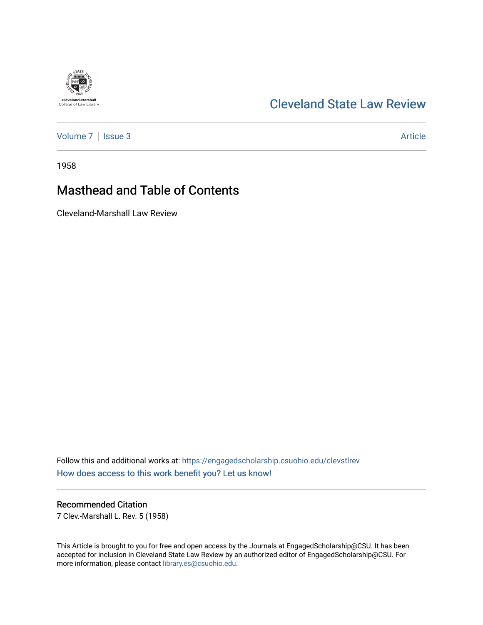# [Cleveland State Law Review](https://engagedscholarship.csuohio.edu/clevstlrev)

[Volume 7](https://engagedscholarship.csuohio.edu/clevstlrev/vol7) | [Issue 3](https://engagedscholarship.csuohio.edu/clevstlrev/vol7/iss3) Article

**Cleveland-Marshall**<br>College of Law Library

1958

# Masthead and Table of Contents

Cleveland-Marshall Law Review

Follow this and additional works at: [https://engagedscholarship.csuohio.edu/clevstlrev](https://engagedscholarship.csuohio.edu/clevstlrev?utm_source=engagedscholarship.csuohio.edu%2Fclevstlrev%2Fvol7%2Fiss3%2F3&utm_medium=PDF&utm_campaign=PDFCoverPages) [How does access to this work benefit you? Let us know!](http://library.csuohio.edu/engaged/)

#### Recommended Citation

7 Clev.-Marshall L. Rev. 5 (1958)

This Article is brought to you for free and open access by the Journals at EngagedScholarship@CSU. It has been accepted for inclusion in Cleveland State Law Review by an authorized editor of EngagedScholarship@CSU. For more information, please contact [library.es@csuohio.edu](mailto:library.es@csuohio.edu).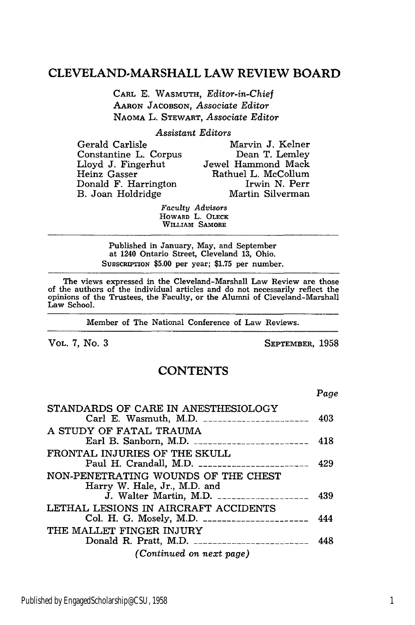### **CLEVELAND-MARSHALL** LAW REVIEW BOARD

**CARL** E. WASMUTH, *Editor-in-Chief* **AARON** JACOBSON, *Associate Editor* NAOMA L. STEWART, *Associate Editor*

*Assistant Editors*

| Gerald Carlisle       | Marvin J. Kelner    |
|-----------------------|---------------------|
| Constantine L. Corpus | Dean T. Lemley      |
| Lloyd J. Fingerhut    | Jewel Hammond Mack  |
| Heinz Gasser          | Rathuel L. McCollum |
| Donald F. Harrington  | Irwin N. Perr       |
| B. Joan Holdridge     | Martin Silverman    |
|                       |                     |

*Faculty Advisors* HOWARD L. **OLECK WILLIAM** SAMORE

Published in January, May, and September at 1240 Ontario Street, Cleveland 13, Ohio. SUBSCRIPTION \$5.00 per year; \$1.75 per number.

The views expressed in the Cleveland-Marshall Law Review are those of the authors of the individual articles and do not necessarily reflect the opinions of the Trustees, the Faculty, or the Alumni of Cleveland-Marshall Law School.

Member of The National Conference of Law Reviews.

VOL. 7, No. 3 SEPTEMBER, 1958

*Page*

## **CONTENTS**

| STANDARDS OF CARE IN ANESTHESIOLOGY<br>Carl E. Wasmuth, M.D. $\frac{1}{2}$                                        | 403 |
|-------------------------------------------------------------------------------------------------------------------|-----|
| A STUDY OF FATAL TRAUMA                                                                                           | 418 |
| FRONTAL INJURIES OF THE SKULL<br>Paul H. Crandall, M.D. _______________________                                   | 429 |
| NON-PENETRATING WOUNDS OF THE CHEST<br>Harry W. Hale, Jr., M.D. and<br>J. Walter Martin, M.D. ___________________ | 439 |
| LETHAL LESIONS IN AIRCRAFT ACCIDENTS<br>Col. H. G. Mosely, M.D. ______________________                            | 444 |
| THE MALLET FINGER INJURY<br>Donald R. Pratt, M.D. _________________________                                       | 448 |
| (Continued on next page)                                                                                          |     |